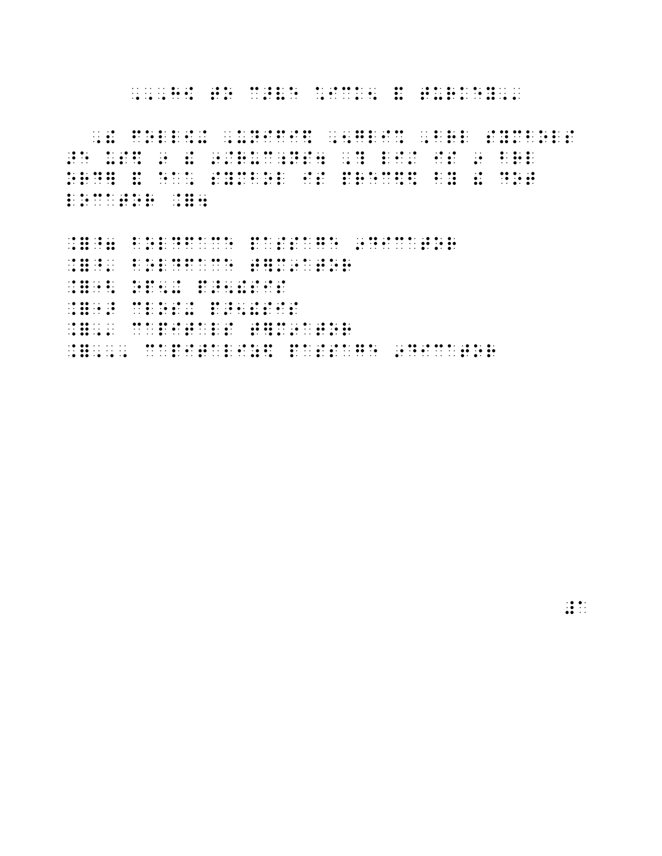## 

indiano i de salada i ser ilha i se salada de da se da ser i se da i de salada e indicativo i se i de de deli<br>1940 - Se de de li ser i de si se de ser se se se de de li se de de ser i ser al ser i de de de de de de de<br>1941 

**FRANCISCO CONTRACTO DE CONTRACTO DE CONTRACTO DE CONTRACTO DE CONTRACTO DE CONTRACTO DE CONTRACTO DE CONTRACTO**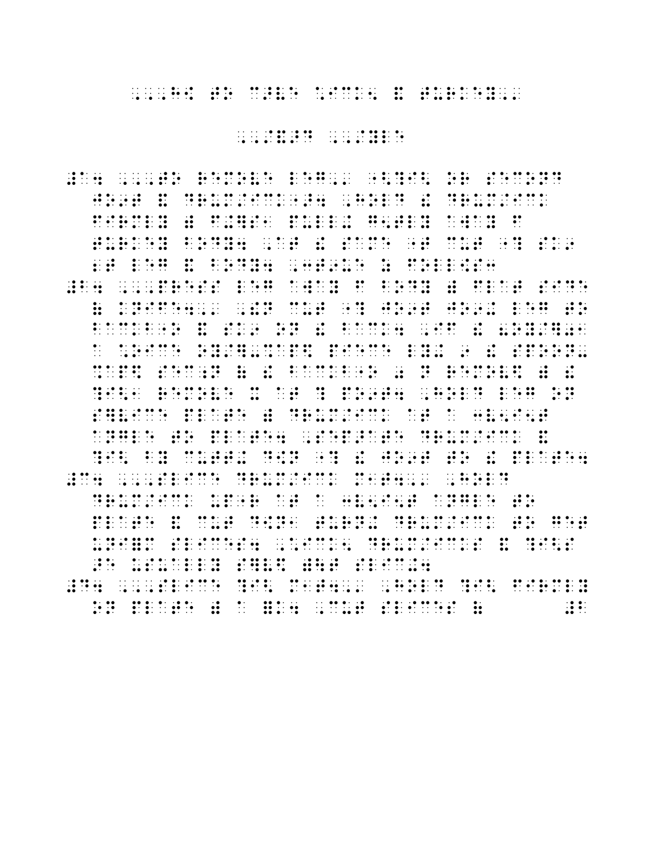## ,,,H[ TO C>VE \*ICK5 & TURKEY,'

,,/&>D ,,/YLE

#A4 ,,,TO REMOVE LEG,' "<?I< OR SECOND JO9T & DRUM/ICK">4 ,HOLD ! DRUM/ICK FIRMLY IS A REPORT OF THE REPORT OF THE RESIDENCE OF THE RESIDENCE OF THE RESIDENCE OF THE RESIDENCE OF THE RESIDENCE OF THE RESIDENCE OF THE RESIDENCE OF THE RESIDENCE OF THE RESIDENCE OF THE RESIDENCE OF THE RESIDENCE O TURKEY BODY4 ,AT ! SAME "T CUT "? SK9 2 T LEG & BODY4 , 2005 , 2004 , 2004 , 2004 , 2004 , 2004 , 2004 , 2004 , 2004 , 2004 , 2004 , 2004 , 2004 , 2<br>2 T LEG & BODY4 , 2004 , 2004 , 2004 , 2004 , 2004 , 2004 , 2004 , 2004 , 2004 , 2004 , 2004 , 2004 , 2004 , 2<br>  $\frac{1}{2}$  ,  $\frac{1}{2}$  ,  $\frac{1}{2}$  ,  $\frac{1}{2}$  ,  $\frac{1}{2}$  ,  $\frac{1}{2}$  ,  $\frac{1}{2}$  ,  $\frac{1}{2}$  ,  $\frac{1}{2}$  ,  $\frac{1}{2}$  ,  $\frac{1}{2}$  ,  $\frac{1}{2}$  ,  $\frac{1}{2}$  ,  $\frac{1}{2}$  ,  $\frac{1}{2}$  ,  $\frac{1}{2}$  ,  $\frac{1}{2}$  ,  $\frac{1}{2}$  ,  $\frac{1$ ( KNIFE4,' ,!N CUT "? JO9T JO9+ LEG TO BACKBO & SK9 ON DATE THE RELEASE OF THE RELEASE OF THE RELEASE OF THE RELEASE OF THE RELEASE OF THE RELEASE OF<br>BACK4 , IF IN BACK4 , IF IN BACK4 , IF IN BACK4 , IF IN BACK4 , IF IN BACK4 , IF IN BACK4 , IF IN BACK4 , IF I<br> A \*OICE OY/]-%AP\$ PIECE LY+ 9 ! SPOON-  $\frac{1}{2}$  , and the second second second second second second second second second second second second second<br>Application of the second second second second second second second second second second second second second<br> .<br>1980 – Paris II, primer de primer de la posta de la poeta en la primera de la posta de la poeta de la poeta<br>1980 – Paris II, primer de la poeta de la poeta de la poeta de la poeta de la poeta de la poeta de la poeta SIGNE DE LA DE DE LA TITULA DE LA DIVISIÓ DE LA DIVISIÓ DE LA TITULA DE LA TITULA DE LA TITULA DE LA TITULA DE<br>Signe de De La Titula de La Titula de La Titula de La Titula de La Titula de La Titula de La Titula de La Tit<br>S ANGLE TO PLATE4 , ANGLES , ANGLES , ANGLES , ANGLES , ANGLES , ANGLES , ANGLES , ANGLES , ANGLES , ANGLES , AN<br>Angles drum/inc. Angles , Angles , Angles , Angles , Angles , Angles , Angles , Angles , Angles , Angles , An<br>A ?I< BY CUTT+ D[N "? ! JO9T TO ! PLATE4 # 2008 | 2008 | 2009 | 2009 | 2009 | 2009 | 2009 | 2009 | 2009 | 2009 | 2009 | 2009 | 2009 | 2009 | 2009 | 200<br>| 2009 | 2009 | 2009 | 2009 | 2009 | 2009 | 2009 | 2009 | 2009 | 2009 | 2009 | 2009 | 2009 | 2009 | 2009 | 20<br>| DRUM/ICK UP"R AT A 300 PH AT A 300 PH AT A 300 PH AT A 300 PH AT A 300 PH AT A 300 PH AT A 300 PH AT A 300 PH A<br>The angle to a 300 ph angle to a 300 ph angle to a 300 ph angle to a 300 ph angle to a 300 ph angle to a 400 p PRODUCT A CONTRA DE CONSTRUIRE DE LO DE LO DE DURANT DE DURANT DE LO DE LO DE LO DE LO DE LO DE LO DE LO DE LO<br>PLATE DE LO DE LO DE LO DE LO DE LO DE LO DE LO DE LO DE LO DE LO DE LO DE LO DE LO DE LO DE LO DE LO DE LO<br>PLA UNIEM SE DE DE 1919 DI SE DE DISTRIKTORIA DI SULTAN DE DE DISTRIKTORIA DE SE DISTRIKTORIA DE SE DE SE DISTRIKT<br>1919 DI SE DE SITUATUR DI STUDIO DI STUDIO DI STUDIO DI STUDIO DI STUDIO DI STUDIO DI STUDIO DI STUDIO DI BIT<br>1 + C USUALLY STATE ( COURT COURT COURT COURT COURT COURT COURT COURT COURT COURT COURT COURT COURT COURT COURT<br>- C SLICH ( C ) - C ( C ) - C ( C ) - C ( C ) - C ( C ) - C ( C ) - C ( C ) - C ( C ) - C ( C ) - C ( C ) - C<br>- #D4 ,,,SLICE ?I< M1T4,' ,HOLD ?I< FIRMLY ON PLATE ) A =K4 ,CUT SLICES ( #B + CUT SLICES ( #B + CUT SLICES ( #B + CUT SLICES ( #B + CUT SLICES ( #B + CU<br>1981 - A =K4 ,CUT SLICES ( #B + CUT SLICES ( #B + CUT SLICES ( #B + CUT SLICES ( #B + CUT SLICES ( #B + CUT S<br>1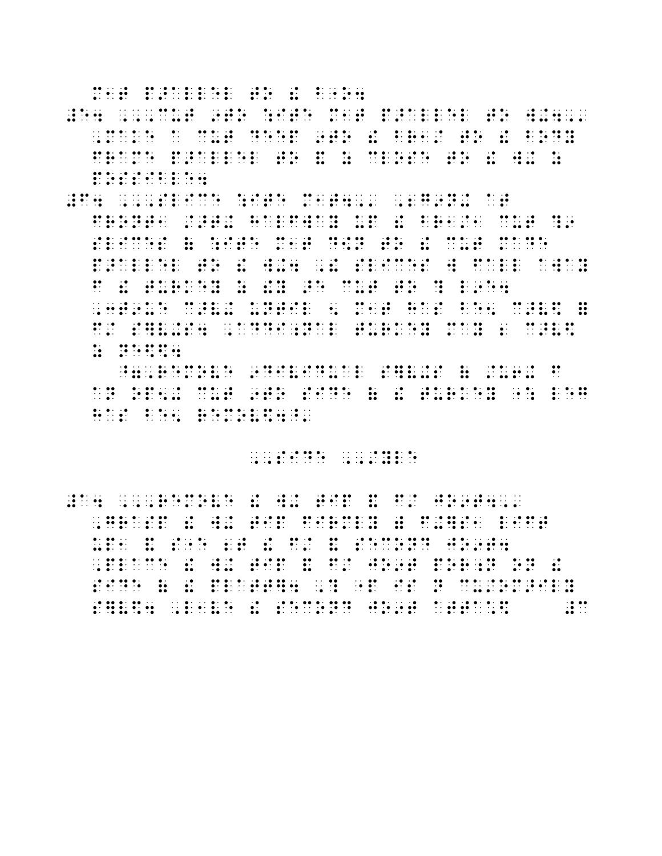- 1980 - 1980 - 1980 - 1980 - 1980 - 1980 - 1980 - 1980 - 1980 - 1980 - 1980 - 1980 - 1980 - 1980 - 1980 - 198<br>- 1980 - 1980 - 1980 - 1980 - 1980 - 1980 - 1980 - 1980 - 1980 - 1980 - 1980 - 1980 - 1980 - 1980 - 1980 - 19<br>-

- 1989 - 1989 - 1989 - 1989 - 1989 - 1989 - 1989 - 1989 - 1989 - 1989 - 1989 - 1989 - 1989 - 1989 - 1989 - 1989<br>1989 - 1989 - 1989 - 1989 - 1989 - 1989 - 1989 - 1989 - 1989 - 1989 - 1989 - 1989 - 1989 - 1989 - 1989 - 1989<br>19
- - 1966 - 1976 - 1976 - 1976 - 1977 - 1978 - 1979 - 1979 - 1980 - 1980 - 1976 - 1977 - 1980 - 1970 - 1970 - 197<br>- 1970 - 1970 - 1970 - 1980 - 1980 - 1980 - 1980 - 1980 - 1980 - 1980 - 1980 - 1980 - 1980 - 1980 - 1980 - 19<br>- $\begin{bmatrix} 0 & 0 & 0 & 0 \\ 0 & 0 & 0 & 0 \\ 0 & 0 & 0 & 0 \\ 0 & 0 & 0 & 0 \\ 0 & 0 & 0 & 0 \\ 0 & 0 & 0 & 0 \\ 0 & 0 & 0 & 0 \\ 0 & 0 & 0 & 0 \\ 0 & 0 & 0 & 0 \\ 0 & 0 & 0 & 0 \\ 0 & 0 & 0 & 0 & 0 \\ 0 & 0 & 0 & 0 & 0 \\ 0 & 0 & 0 & 0 & 0 \\ 0 & 0 & 0 & 0 & 0 \\ 0 & 0 & 0 & 0 & 0 \\ 0 & 0 & 0 & 0 & 0 \\ 0 &$

## 

 $\frac{1}{2}$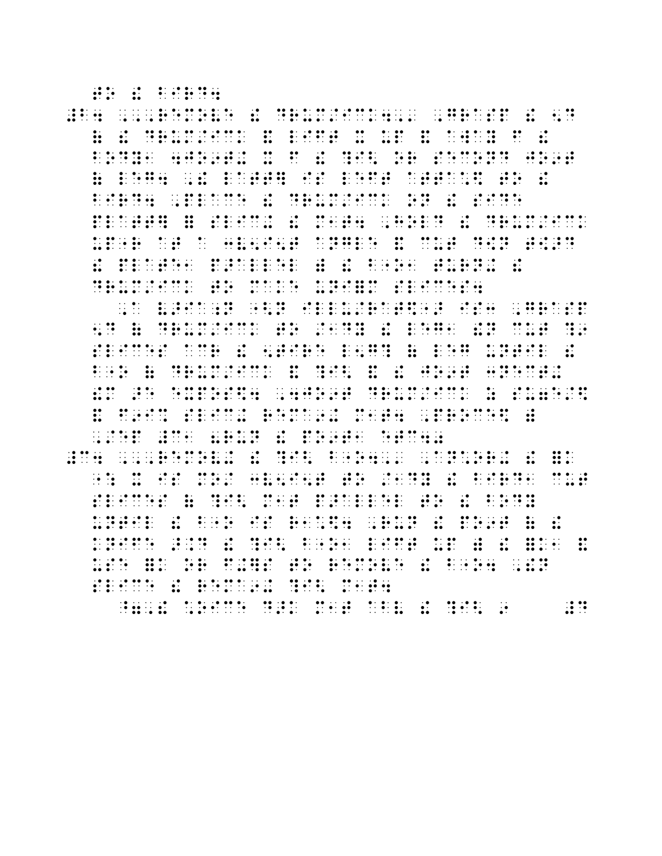. A BARAN SA SA SA SA SA BA BA BA BA BA SA SI BIB BA BA BA A A BIB BA ARA AN SA SA BA BA AN AB BIB SA BA SA BA<br>A BIB BA SA SA AN AIB BA AN AIB BA A BA SA SA AIB BA AN AN AN AN AIB AN AN AIB BA BA AN BA BA SA SA SA BA AIB<br>I de la proposa de la companya de persona de la companya de personal de la companya de la política de la company<br>1968 - Se estado de la companya de la persona de la persona de la companya de la companya de la persona de la<br>1 ina i alaman de segundo in la alamana de la alamana in segundo de la segundo de segundo de la alamana in segun<br>1961 - La segundo de la alamana de la alamana in segundo de la alamana in segundo de la alamana de la alamana<br>1  $\begin{bmatrix} 0 & 0 & 0 & 0 \\ 0 & 0 & 0 & 0 \\ 0 & 0 & 0 & 0 \\ 0 & 0 & 0 & 0 \\ 0 & 0 & 0 & 0 \\ 0 & 0 & 0 & 0 \\ 0 & 0 & 0 & 0 \\ 0 & 0 & 0 & 0 \\ 0 & 0 & 0 & 0 \\ 0 & 0 & 0 & 0 \\ 0 & 0 & 0 & 0 & 0 \\ 0 & 0 & 0 & 0 & 0 \\ 0 & 0 & 0 & 0 & 0 \\ 0 & 0 & 0 & 0 & 0 \\ 0 & 0 & 0 & 0 & 0 \\ 0 & 0 & 0 & 0 & 0 \\ 0 &$  $\mathcal{L}(\mathbf{r},\mathbf{r})$  . The contract of the contract of the contract of the contract of the contract of the contract of the contract of the contract of the contract of the contract of the contract of the contract of the co . 1969 - 1971 - 1972 - 1973 - 1974 - 1975 - 1980 - 1980 - 1980 - 1980 - 1980 - 1980 - 1980 - 1980 - 1980 - 198<br>1980 - 1980 - 1980 - 1980 - 1980 - 1980 - 1980 - 1980 - 1980 - 1980 - 1980 - 1980 - 1980 - 1980 - 1980 - 1980<br>1 in de la distribución de de estas les de entre en el legación en el distribución de la distribución de de egli<br>Legación en la de de entre en la distribución de la distribución en el de la distribución en el les en destrib<br> ian ad na ad an ilina na ad ilina ilina na markin an nomin ilina na ad ilina ad ilina ilina ilina ad an nomin<br>1999 - An ad ilina ilina ilina ilina anche il anche na ad ad ad ad ad ilina il ad il ad il ad il ad il ad il<br>199